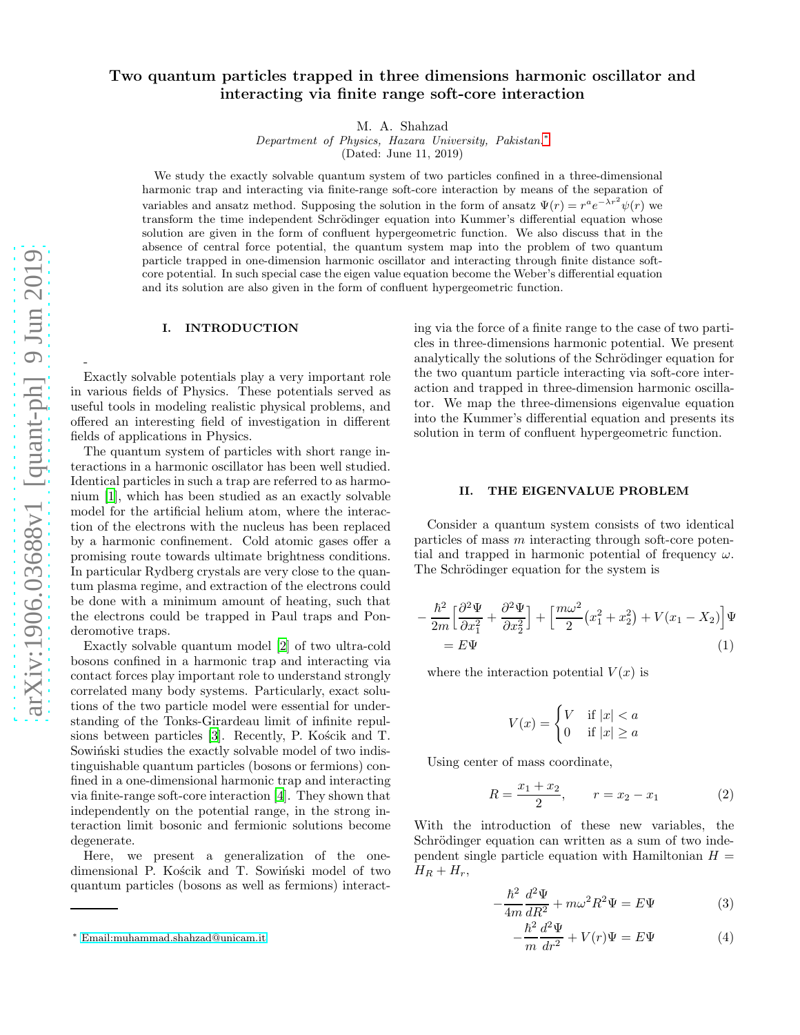## Two quantum particles trapped in three dimensions harmonic oscillator and interacting via finite range soft-core interaction

M. A. Shahzad

Department of Physics, Hazara University, Pakistan.[∗](#page-0-0) (Dated: June 11, 2019)

We study the exactly solvable quantum system of two particles confined in a three-dimensional harmonic trap and interacting via finite-range soft-core interaction by means of the separation of variables and ansatz method. Supposing the solution in the form of ansatz  $\Psi(r) = r^a e^{-\lambda r^2} \psi(r)$  we transform the time independent Schrödinger equation into Kummer's differential equation whose solution are given in the form of confluent hypergeometric function. We also discuss that in the absence of central force potential, the quantum system map into the problem of two quantum particle trapped in one-dimension harmonic oscillator and interacting through finite distance softcore potential. In such special case the eigen value equation become the Weber's differential equation and its solution are also given in the form of confluent hypergeometric function.

## I. INTRODUCTION

Exactly solvable potentials play a very important role in various fields of Physics. These potentials served as useful tools in modeling realistic physical problems, and offered an interesting field of investigation in different fields of applications in Physics.

The quantum system of particles with short range interactions in a harmonic oscillator has been well studied. Identical particles in such a trap are referred to as harmonium [\[1\]](#page-2-0), which has been studied as an exactly solvable model for the artificial helium atom, where the interaction of the electrons with the nucleus has been replaced by a harmonic confinement. Cold atomic gases offer a promising route towards ultimate brightness conditions. In particular Rydberg crystals are very close to the quantum plasma regime, and extraction of the electrons could be done with a minimum amount of heating, such that the electrons could be trapped in Paul traps and Ponderomotive traps.

Exactly solvable quantum model [\[2](#page-2-1)] of two ultra-cold bosons confined in a harmonic trap and interacting via contact forces play important role to understand strongly correlated many body systems. Particularly, exact solutions of the two particle model were essential for understanding of the Tonks-Girardeau limit of infinite repul-sions between particles [\[3\]](#page-2-2). Recently, P. Kościk and T. Sowinski studies the exactly solvable model of two indistinguishable quantum particles (bosons or fermions) confined in a one-dimensional harmonic trap and interacting via finite-range soft-core interaction [\[4](#page-2-3)]. They shown that independently on the potential range, in the strong interaction limit bosonic and fermionic solutions become degenerate.

Here, we present a generalization of the onedimensional P. Kościk and T. Sowiński model of two quantum particles (bosons as well as fermions) interacting via the force of a finite range to the case of two particles in three-dimensions harmonic potential. We present analytically the solutions of the Schrödinger equation for the two quantum particle interacting via soft-core interaction and trapped in three-dimension harmonic oscillator. We map the three-dimensions eigenvalue equation into the Kummer's differential equation and presents its solution in term of confluent hypergeometric function.

## II. THE EIGENVALUE PROBLEM

Consider a quantum system consists of two identical particles of mass m interacting through soft-core potential and trapped in harmonic potential of frequency  $\omega$ . The Schrödinger equation for the system is

$$
-\frac{\hbar^2}{2m} \left[ \frac{\partial^2 \Psi}{\partial x_1^2} + \frac{\partial^2 \Psi}{\partial x_2^2} \right] + \left[ \frac{m\omega^2}{2} \left( x_1^2 + x_2^2 \right) + V(x_1 - X_2) \right] \Psi
$$
  
=  $E \Psi$  (1)

where the interaction potential  $V(x)$  is

$$
V(x) = \begin{cases} V & \text{if } |x| < a \\ 0 & \text{if } |x| \ge a \end{cases}
$$

Using center of mass coordinate,

$$
R = \frac{x_1 + x_2}{2}, \qquad r = x_2 - x_1 \tag{2}
$$

With the introduction of these new variables, the Schrödinger equation can written as a sum of two independent single particle equation with Hamiltonian  $H =$  $H_R + H_r$ ,

$$
-\frac{\hbar^2}{4m}\frac{d^2\Psi}{dR^2} + m\omega^2 R^2 \Psi = E\Psi
$$
 (3)

$$
-\frac{\hbar^2}{m}\frac{d^2\Psi}{dr^2} + V(r)\Psi = E\Psi
$$
\n(4)

-

<span id="page-0-0"></span><sup>∗</sup> [Email:muhammad.shahzad@unicam.it](mailto:Email:muhammad.shahzad@unicam.it)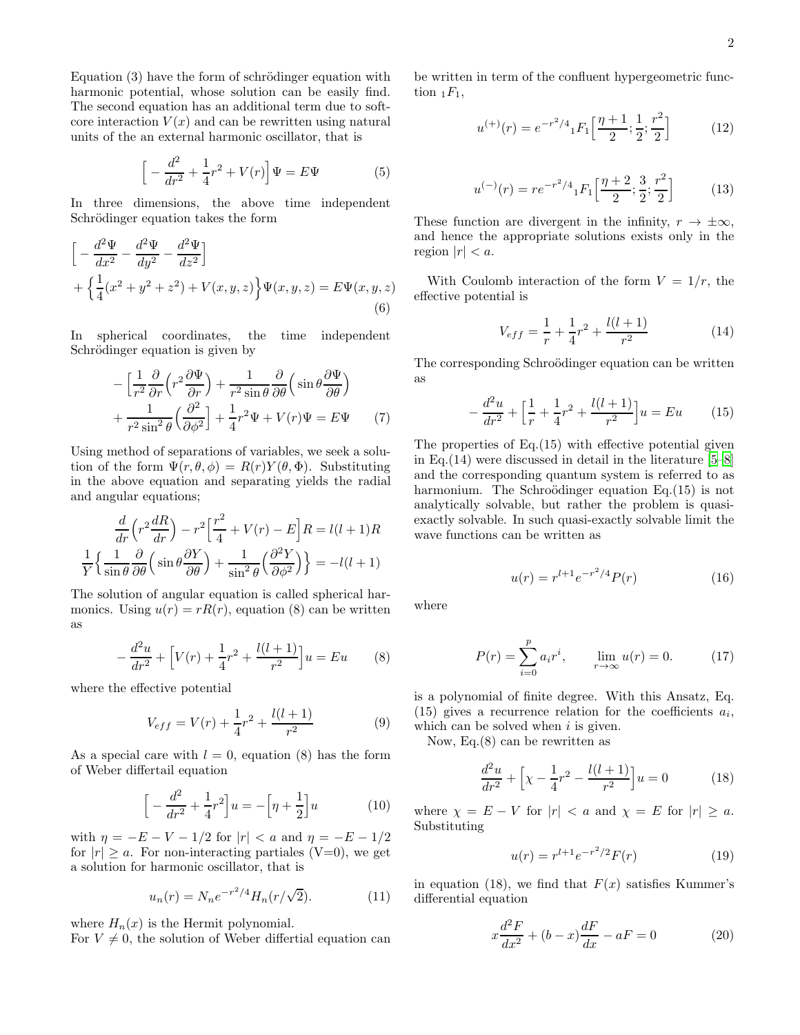Equation  $(3)$  have the form of schrödinger equation with harmonic potential, whose solution can be easily find. The second equation has an additional term due to softcore interaction  $V(x)$  and can be rewritten using natural units of the an external harmonic oscillator, that is

$$
\[ -\frac{d^2}{dr^2} + \frac{1}{4}r^2 + V(r) \] \Psi = E\Psi \tag{5}
$$

In three dimensions, the above time independent Schrödinger equation takes the form

$$
\[ -\frac{d^2 \Psi}{dx^2} - \frac{d^2 \Psi}{dy^2} - \frac{d^2 \Psi}{dz^2} \] + \left\{ \frac{1}{4} (x^2 + y^2 + z^2) + V(x, y, z) \right\} \Psi(x, y, z) = E \Psi(x, y, z)
$$
\n(6)

In spherical coordinates, the time independent Schrödinger equation is given by

$$
-\left[\frac{1}{r^2}\frac{\partial}{\partial r}\left(r^2\frac{\partial \Psi}{\partial r}\right) + \frac{1}{r^2 \sin\theta} \frac{\partial}{\partial \theta}\left(\sin\theta \frac{\partial \Psi}{\partial \theta}\right) + \frac{1}{r^2 \sin^2\theta} \left(\frac{\partial^2}{\partial \phi^2}\right) + \frac{1}{4}r^2\Psi + V(r)\Psi = E\Psi \tag{7}
$$

Using method of separations of variables, we seek a solution of the form  $\Psi(r, \theta, \phi) = R(r)Y(\theta, \Phi)$ . Substituting in the above equation and separating yields the radial and angular equations;

$$
\frac{d}{dr}\left(r^2\frac{dR}{dr}\right) - r^2\left[\frac{r^2}{4} + V(r) - E\right]R = l(l+1)R
$$
  

$$
\frac{1}{Y}\left\{\frac{1}{\sin\theta}\frac{\partial}{\partial\theta}\left(\sin\theta\frac{\partial Y}{\partial\theta}\right) + \frac{1}{\sin^2\theta}\left(\frac{\partial^2 Y}{\partial\phi^2}\right)\right\} = -l(l+1)
$$

The solution of angular equation is called spherical harmonics. Using  $u(r) = rR(r)$ , equation (8) can be written as

$$
-\frac{d^2u}{dr^2} + \left[V(r) + \frac{1}{4}r^2 + \frac{l(l+1)}{r^2}\right]u = Eu
$$
 (8)

where the effective potential

$$
V_{eff} = V(r) + \frac{1}{4}r^2 + \frac{l(l+1)}{r^2}
$$
 (9)

As a special care with  $l = 0$ , equation (8) has the form of Weber differtail equation

$$
\[ -\frac{d^2}{dr^2} + \frac{1}{4}r^2 \] u = -\left[\eta + \frac{1}{2}\right] u \tag{10}
$$

with  $\eta = -E - V - 1/2$  for  $|r| < a$  and  $\eta = -E - 1/2$ for  $|r| \ge a$ . For non-interacting partiales (V=0), we get a solution for harmonic oscillator, that is

$$
u_n(r) = N_n e^{-r^2/4} H_n(r/\sqrt{2}).
$$
 (11)

where  $H_n(x)$  is the Hermit polynomial.

For  $V \neq 0$ , the solution of Weber differtial equation can

be written in term of the confluent hypergeometric function  $_1F_1$ ,

$$
u^{(+)}(r) = e^{-r^2/4} {}_1F_1\left[\frac{\eta+1}{2}; \frac{1}{2}; \frac{r^2}{2}\right] \tag{12}
$$

$$
u^{(-)}(r) = r e^{-r^2/4} {}_1F_1\left[\frac{\eta+2}{2}; \frac{3}{2}; \frac{r^2}{2}\right] \tag{13}
$$

These function are divergent in the infinity,  $r \to \pm \infty$ , and hence the appropriate solutions exists only in the region  $|r| < a$ .

With Coulomb interaction of the form  $V = 1/r$ , the effective potential is

$$
V_{eff} = \frac{1}{r} + \frac{1}{4}r^2 + \frac{l(l+1)}{r^2}
$$
 (14)

The corresponding Schroödinger equation can be written as

$$
-\frac{d^2u}{dr^2} + \left[\frac{1}{r} + \frac{1}{4}r^2 + \frac{l(l+1)}{r^2}\right]u = Eu \qquad (15)
$$

The properties of Eq.(15) with effective potential given in Eq.(14) were discussed in detail in the literature [\[5](#page-2-4)[–8](#page-2-5)] and the corresponding quantum system is referred to as harmonium. The Schroödinger equation Eq. $(15)$  is not analytically solvable, but rather the problem is quasiexactly solvable. In such quasi-exactly solvable limit the wave functions can be written as

$$
u(r) = r^{l+1} e^{-r^2/4} P(r)
$$
 (16)

where

$$
P(r) = \sum_{i=0}^{p} a_i r^i, \qquad \lim_{r \to \infty} u(r) = 0.
$$
 (17)

is a polynomial of finite degree. With this Ansatz, Eq.  $(15)$  gives a recurrence relation for the coefficients  $a_i$ , which can be solved when  $i$  is given.

Now, Eq.(8) can be rewritten as

$$
\frac{d^2u}{dr^2} + \left[\chi - \frac{1}{4}r^2 - \frac{l(l+1)}{r^2}\right]u = 0\tag{18}
$$

where  $\chi = E - V$  for  $|r| < a$  and  $\chi = E$  for  $|r| \ge a$ . Substituting

$$
u(r) = r^{l+1} e^{-r^2/2} F(r)
$$
 (19)

in equation (18), we find that  $F(x)$  satisfies Kummer's differential equation

$$
x\frac{d^2F}{dx^2} + (b-x)\frac{dF}{dx} - aF = 0
$$
 (20)